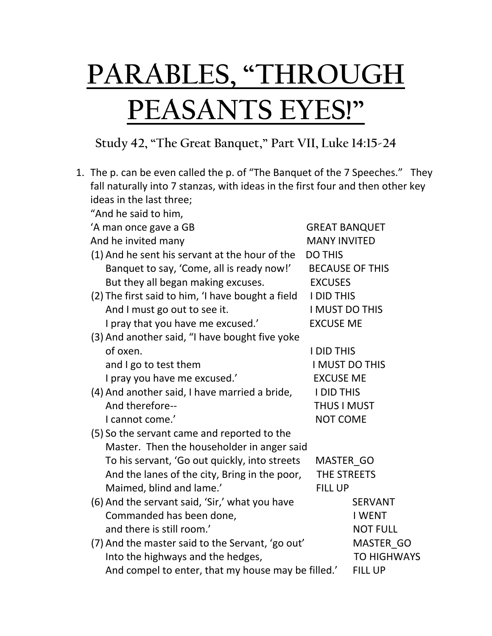## **PARABLES, "THROUGH PEASANTS EYES!"**

## **Study 42, "The Great Banquet," Part VII, Luke 14:15-24**

| 1. The p. can be even called the p. of "The Banquet of the 7 Speeches." They   |                        |  |
|--------------------------------------------------------------------------------|------------------------|--|
| fall naturally into 7 stanzas, with ideas in the first four and then other key |                        |  |
| ideas in the last three;                                                       |                        |  |
| "And he said to him,                                                           |                        |  |
| 'A man once gave a GB                                                          | <b>GREAT BANQUET</b>   |  |
| And he invited many                                                            | <b>MANY INVITED</b>    |  |
| (1) And he sent his servant at the hour of the                                 | <b>DO THIS</b>         |  |
| Banquet to say, 'Come, all is ready now!'                                      | <b>BECAUSE OF THIS</b> |  |
| But they all began making excuses.                                             | <b>EXCUSES</b>         |  |
| (2) The first said to him, 'I have bought a field                              | <b>I DID THIS</b>      |  |
| And I must go out to see it.                                                   | <b>I MUST DO THIS</b>  |  |
| I pray that you have me excused.'                                              | <b>EXCUSE ME</b>       |  |
| (3) And another said, "I have bought five yoke                                 |                        |  |
| of oxen.                                                                       | <b>I DID THIS</b>      |  |
| and I go to test them                                                          | I MUST DO THIS         |  |
| I pray you have me excused.'                                                   | <b>EXCUSE ME</b>       |  |
| (4) And another said, I have married a bride,                                  | <b>I DID THIS</b>      |  |
| And therefore--                                                                | <b>THUS I MUST</b>     |  |
| I cannot come.'                                                                | <b>NOT COME</b>        |  |
| (5) So the servant came and reported to the                                    |                        |  |
| Master. Then the householder in anger said                                     |                        |  |
| To his servant, 'Go out quickly, into streets                                  | MASTER GO              |  |
| And the lanes of the city, Bring in the poor,                                  | THE STREETS            |  |
| Maimed, blind and lame.'                                                       | <b>FILL UP</b>         |  |
| (6) And the servant said, 'Sir,' what you have                                 | <b>SERVANT</b>         |  |
| Commanded has been done,                                                       | <b>I WENT</b>          |  |
| and there is still room.'                                                      | <b>NOT FULL</b>        |  |
| (7) And the master said to the Servant, 'go out'                               | MASTER GO              |  |
| Into the highways and the hedges,                                              | <b>TO HIGHWAYS</b>     |  |
| And compel to enter, that my house may be filled.'                             | <b>FILL UP</b>         |  |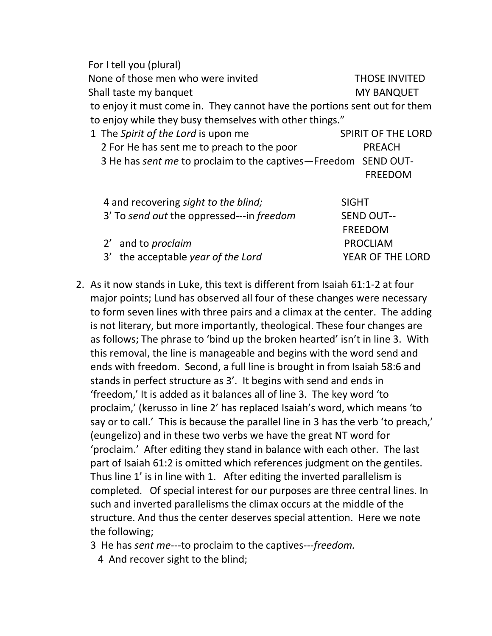For I tell you (plural) None of those men who were invited THOSE INVITED Shall taste my banquet MY BANQUET to enjoy it must come in. They cannot have the portions sent out for them to enjoy while they busy themselves with other things." 1 The *Spirit of the Lord* is upon me SPIRIT OF THE LORD 2 For He has sent me to preach to the poor PREACH 3 He has *sent me* to proclaim to the captives—Freedom SEND OUT- FREEDOM 4 and recovering *sight to the blind;* SIGHT 3' To *send out* the oppressed---in *freedom* SEND OUT-- FREEDOM 2' and to *proclaim* PROCLIAM 3' the acceptable *year of the Lord* YEAR OF THE LORD

- 2. As it now stands in Luke, this text is different from Isaiah 61:1-2 at four major points; Lund has observed all four of these changes were necessary to form seven lines with three pairs and a climax at the center. The adding is not literary, but more importantly, theological. These four changes are as follows; The phrase to 'bind up the broken hearted' isn't in line 3. With this removal, the line is manageable and begins with the word send and ends with freedom. Second, a full line is brought in from Isaiah 58:6 and stands in perfect structure as 3'. It begins with send and ends in 'freedom,' It is added as it balances all of line 3. The key word 'to proclaim,' (kerusso in line 2' has replaced Isaiah's word, which means 'to say or to call.' This is because the parallel line in 3 has the verb 'to preach,' (eungelizo) and in these two verbs we have the great NT word for 'proclaim.' After editing they stand in balance with each other. The last part of Isaiah 61:2 is omitted which references judgment on the gentiles. Thus line 1' is in line with 1. After editing the inverted parallelism is completed. Of special interest for our purposes are three central lines. In such and inverted parallelisms the climax occurs at the middle of the structure. And thus the center deserves special attention. Here we note the following;
	- 3 He has *sent me*---to proclaim to the captives---*freedom.*
		- 4 And recover sight to the blind;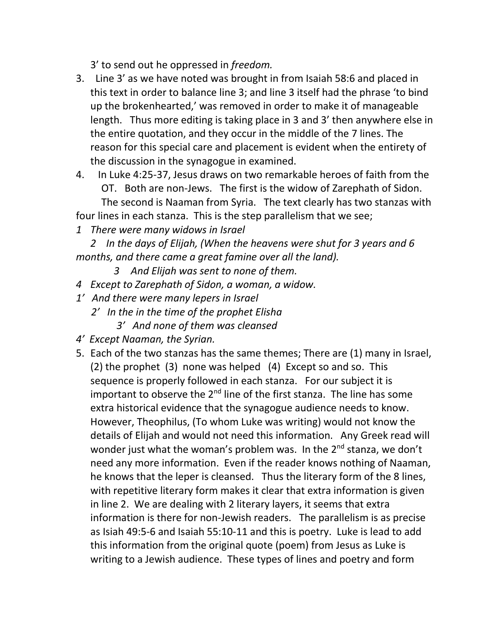3' to send out he oppressed in *freedom.*

- 3. Line 3' as we have noted was brought in from Isaiah 58:6 and placed in this text in order to balance line 3; and line 3 itself had the phrase 'to bind up the brokenhearted,' was removed in order to make it of manageable length. Thus more editing is taking place in 3 and 3' then anywhere else in the entire quotation, and they occur in the middle of the 7 lines. The reason for this special care and placement is evident when the entirety of the discussion in the synagogue in examined.
- 4. In Luke 4:25-37, Jesus draws on two remarkable heroes of faith from the OT. Both are non-Jews. The first is the widow of Zarephath of Sidon. The second is Naaman from Syria. The text clearly has two stanzas with four lines in each stanza. This is the step parallelism that we see;
- *1 There were many widows in Israel*

*2 In the days of Elijah, (When the heavens were shut for 3 years and 6 months, and there came a great famine over all the land).*

- *3 And Elijah was sent to none of them.*
- *4 Except to Zarephath of Sidon, a woman, a widow.*
- *1' And there were many lepers in Israel*
	- *2' In the in the time of the prophet Elisha*
		- *3' And none of them was cleansed*
- *4' Except Naaman, the Syrian.*
- 5. Each of the two stanzas has the same themes; There are (1) many in Israel, (2) the prophet (3) none was helped (4) Except so and so. This sequence is properly followed in each stanza. For our subject it is important to observe the 2<sup>nd</sup> line of the first stanza. The line has some extra historical evidence that the synagogue audience needs to know. However, Theophilus, (To whom Luke was writing) would not know the details of Elijah and would not need this information. Any Greek read will wonder just what the woman's problem was. In the 2<sup>nd</sup> stanza, we don't need any more information. Even if the reader knows nothing of Naaman, he knows that the leper is cleansed. Thus the literary form of the 8 lines, with repetitive literary form makes it clear that extra information is given in line 2. We are dealing with 2 literary layers, it seems that extra information is there for non-Jewish readers. The parallelism is as precise as Isiah 49:5-6 and Isaiah 55:10-11 and this is poetry. Luke is lead to add this information from the original quote (poem) from Jesus as Luke is writing to a Jewish audience. These types of lines and poetry and form